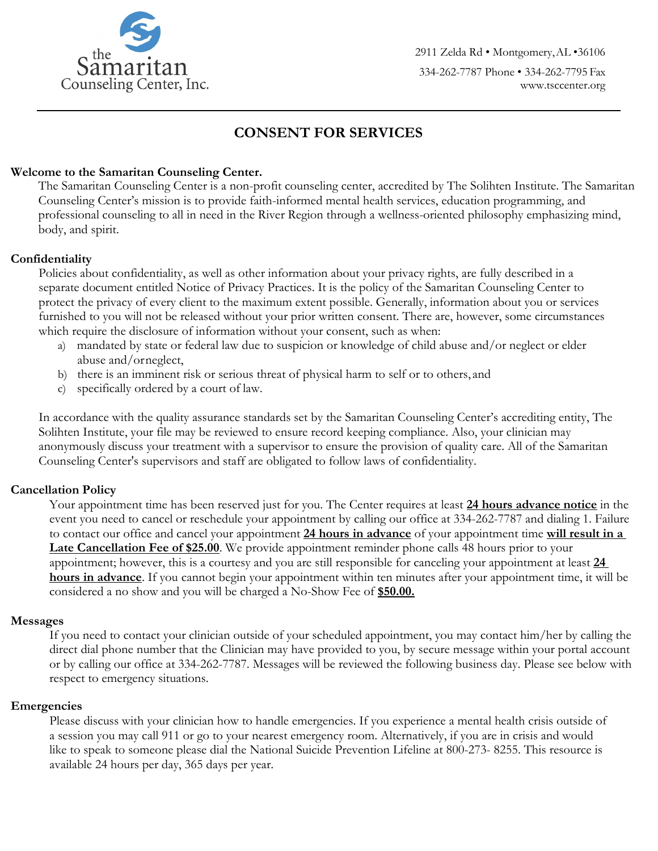

2911 Zelda Rd • Montgomery,AL •36106 334-262-7787 Phone • 334-262-7795 Fax [www.tsccenter.org](http://www.tsccenter.org/)

# **CONSENT FOR SERVICES**

# **Welcome to the Samaritan Counseling Center.**

The Samaritan Counseling Center is a non-profit counseling center, accredited by The Solihten Institute. The Samaritan Counseling Center's mission is to provide faith-informed mental health services, education programming, and professional counseling to all in need in the River Region through a wellness-oriented philosophy emphasizing mind, body, and spirit.

# **Confidentiality**

Policies about confidentiality, as well as other information about your privacy rights, are fully described in a separate document entitled Notice of Privacy Practices. It is the policy of the Samaritan Counseling Center to protect the privacy of every client to the maximum extent possible. Generally, information about you or services furnished to you will not be released without your prior written consent. There are, however, some circumstances which require the disclosure of information without your consent, such as when:

- a) mandated by state or federal law due to suspicion or knowledge of child abuse and/or neglect or elder abuse and/orneglect,
- b) there is an imminent risk or serious threat of physical harm to self or to others, and
- c) specifically ordered by a court of law.

In accordance with the quality assurance standards set by the Samaritan Counseling Center's accrediting entity, The Solihten Institute, your file may be reviewed to ensure record keeping compliance. Also, your clinician may anonymously discuss your treatment with a supervisor to ensure the provision of quality care. All of the Samaritan Counseling Center's supervisors and staff are obligated to follow laws of confidentiality.

# **Cancellation Policy**

Your appointment time has been reserved just for you. The Center requires at least **24 hours advance notice** in the event you need to cancel or reschedule your appointment by calling our office at 334-262-7787 and dialing 1. Failure to contact our office and cancel your appointment **24 hours in advance** of your appointment time **will result in a Late Cancellation Fee of \$25.00**. We provide appointment reminder phone calls 48 hours prior to your appointment; however, this is a courtesy and you are still responsible for canceling your appointment at least **24 hours in advance**. If you cannot begin your appointment within ten minutes after your appointment time, it will be considered a no show and you will be charged a No-Show Fee of **\$50.00.**

#### **Messages**

If you need to contact your clinician outside of your scheduled appointment, you may contact him/her by calling the direct dial phone number that the Clinician may have provided to you, by secure message within your portal account or by calling our office at 334-262-7787. Messages will be reviewed the following business day. Please see below with respect to emergency situations.

#### **Emergencies**

Please discuss with your clinician how to handle emergencies. If you experience a mental health crisis outside of a session you may call 911 or go to your nearest emergency room. Alternatively, if you are in crisis and would like to speak to someone please dial the National Suicide Prevention Lifeline at 800-273- 8255. This resource is available 24 hours per day, 365 days per year.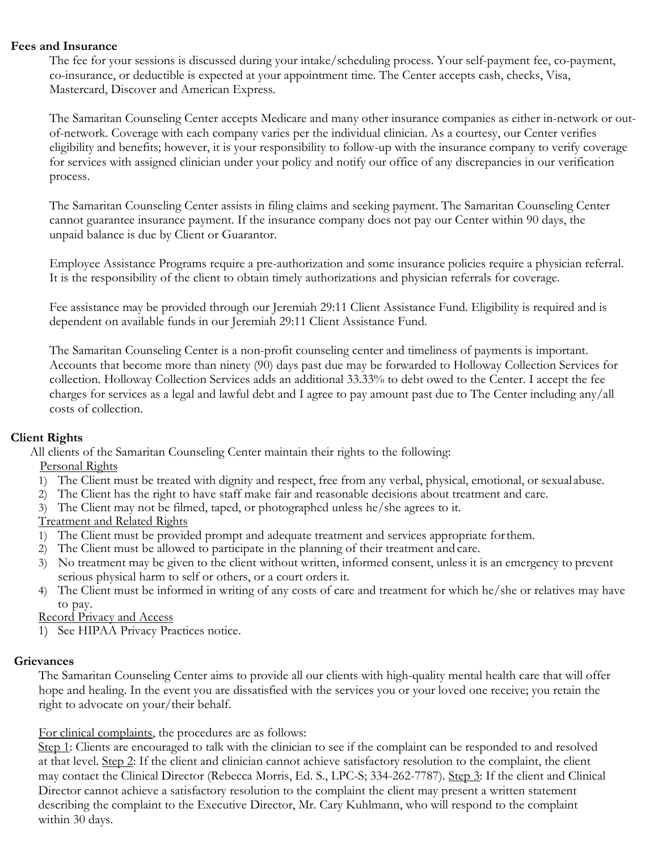#### **Fees and Insurance**

The fee for your sessions is discussed during your intake/scheduling process. Your self-payment fee, co-payment, co-insurance, or deductible is expected at your appointment time. The Center accepts cash, checks, Visa, Mastercard, Discover and American Express.

The Samaritan Counseling Center accepts Medicare and many other insurance companies as either in-network or outof-network. Coverage with each company varies per the individual clinician. As a courtesy, our Center verifies eligibility and benefits; however, it is your responsibility to follow-up with the insurance company to verify coverage for services with assigned clinician under your policy and notify our office of any discrepancies in our verification process.

The Samaritan Counseling Center assists in filing claims and seeking payment. The Samaritan Counseling Center cannot guarantee insurance payment. If the insurance company does not pay our Center within 90 days, the unpaid balance is due by Client or Guarantor.

Employee Assistance Programs require a pre-authorization and some insurance policies require a physician referral. It is the responsibility of the client to obtain timely authorizations and physician referrals for coverage.

Fee assistance may be provided through our Jeremiah 29:11 Client Assistance Fund. Eligibility is required and is dependent on available funds in our Jeremiah 29:11 Client Assistance Fund.

The Samaritan Counseling Center is a non-profit counseling center and timeliness of payments is important. Accounts that become more than ninety (90) days past due may be forwarded to Holloway Collection Services for collection. Holloway Collection Services adds an additional 33.33% to debt owed to the Center. I accept the fee charges for services as a legal and lawful debt and I agree to pay amount past due to The Center including any/all costs of collection.

# **Client Rights**

All clients of the Samaritan Counseling Center maintain their rights to the following:

Personal Rights

- 1) The Client must be treated with dignity and respect, free from any verbal, physical, emotional, or sexual abuse.
- 2) The Client has the right to have staff make fair and reasonable decisions about treatment and care.
- 3) The Client may not be filmed, taped, or photographed unless he/she agrees to it.

# Treatment and Related Rights

- 1) The Client must be provided prompt and adequate treatment and services appropriate forthem.
- 2) The Client must be allowed to participate in the planning of their treatment and care.
- 3) No treatment may be given to the client without written, informed consent, unless it is an emergency to prevent serious physical harm to self or others, or a court orders it.
- 4) The Client must be informed in writing of any costs of care and treatment for which he/she or relatives may have to pay.
- Record Privacy and Access
- 1) See HIPAA Privacy Practices notice.

# **Grievances**

The Samaritan Counseling Center aims to provide all our clients with high-quality mental health care that will offer hope and healing. In the event you are dissatisfied with the services you or your loved one receive; you retain the right to advocate on your/their behalf.

For clinical complaints, the procedures are as follows:

Step 1: Clients are encouraged to talk with the clinician to see if the complaint can be responded to and resolved at that level. Step 2: If the client and clinician cannot achieve satisfactory resolution to the complaint, the client may contact the Clinical Director (Rebecca Morris, Ed. S., LPC-S; 334-262-7787). Step 3: If the client and Clinical Director cannot achieve a satisfactory resolution to the complaint the client may present a written statement describing the complaint to the Executive Director, Mr. Cary Kuhlmann, who will respond to the complaint within 30 days.